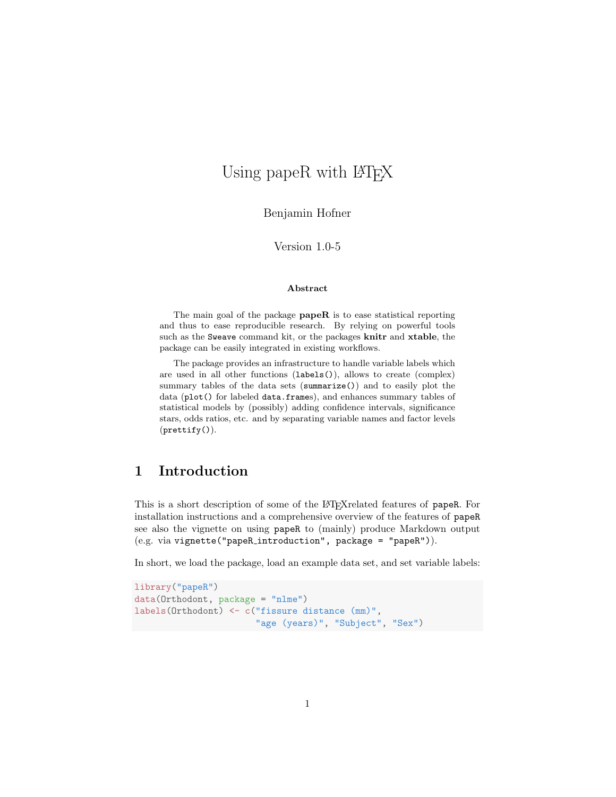# Using papeR with LAT<sub>EX</sub>

Benjamin Hofner

Version 1.0-5

#### Abstract

The main goal of the package  $\mathbf{papeR}$  is to ease statistical reporting and thus to ease reproducible research. By relying on powerful tools such as the Sweave command kit, or the packages knitr and xtable, the package can be easily integrated in existing workflows.

The package provides an infrastructure to handle variable labels which are used in all other functions (labels()), allows to create (complex) summary tables of the data sets (summarize()) and to easily plot the data (plot() for labeled data.frames), and enhances summary tables of statistical models by (possibly) adding confidence intervals, significance stars, odds ratios, etc. and by separating variable names and factor levels (prettify()).

## 1 Introduction

This is a short description of some of the LAT<sub>E</sub>Xrelated features of papeR. For installation instructions and a comprehensive overview of the features of papeR see also the vignette on using papeR to (mainly) produce Markdown output (e.g. via vignette("papeR introduction", package = "papeR")).

In short, we load the package, load an example data set, and set variable labels:

```
library("papeR")
data(Orthodont, package = "nlme")
labels(Orthodont) <- c("fissure distance (mm)",
                       "age (years)", "Subject", "Sex")
```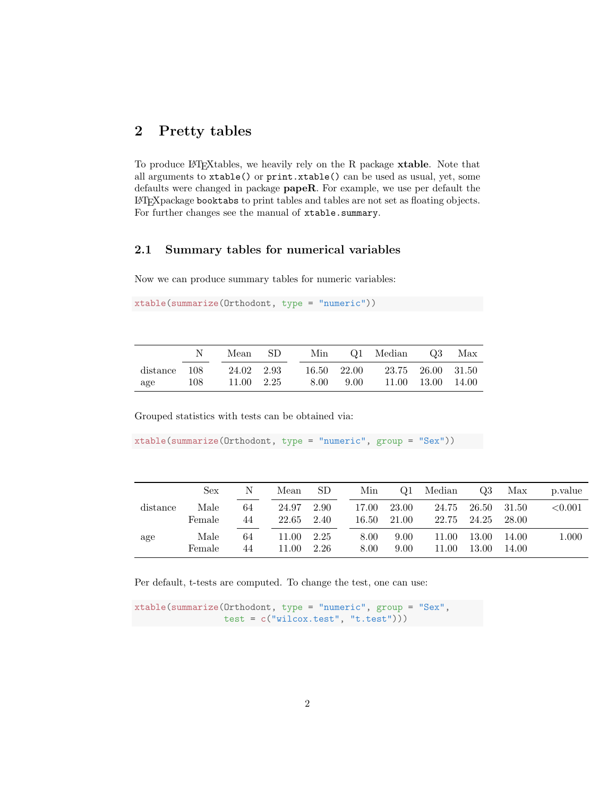### 2 Pretty tables

To produce LATEXtables, we heavily rely on the R package xtable. Note that all arguments to xtable() or print.xtable() can be used as usual, yet, some defaults were changed in package papeR. For example, we use per default the LATEXpackage booktabs to print tables and tables are not set as floating objects. For further changes see the manual of xtable.summary.

#### 2.1 Summary tables for numerical variables

Now we can produce summary tables for numeric variables:

```
xtable(summarize(Orthodont, type = "numeric"))
```

|              |     | Mean SD    |  | Min  |             | Q1 Median Q3 Max |                   |  |
|--------------|-----|------------|--|------|-------------|------------------|-------------------|--|
| distance 108 |     | 24.02 2.93 |  |      | 16.50 22.00 |                  | 23.75 26.00 31.50 |  |
| age          | 108 | 11.00 2.25 |  | 8.00 | 9.00        |                  | 11.00 13.00 14.00 |  |

Grouped statistics with tests can be obtained via:

```
xtable(summarize(Orthodont, type = "numeric", group = "Sex"))
```

|          | Sex            | N        | Mean           | SD           | Min            | Q1             | Median         | Q3             | Max            | p. value   |
|----------|----------------|----------|----------------|--------------|----------------|----------------|----------------|----------------|----------------|------------|
| distance | Male<br>Female | 64<br>44 | 24.97<br>22.65 | 2.90<br>2.40 | 17.00<br>16.50 | 23.00<br>21.00 | 24.75<br>22.75 | 26.50<br>24.25 | 31.50<br>28.00 | ${<}0.001$ |
| age      | Male<br>Female | 64<br>44 | 11.00<br>11.00 | 2.25<br>2.26 | 8.00<br>8.00   | 9.00<br>9.00   | 11.00<br>11.00 | 13.00<br>13.00 | 14.00<br>14.00 | 1.000      |

Per default, t-tests are computed. To change the test, one can use:

xtable(summarize(Orthodont, type = "numeric", group = "Sex", test = c("wilcox.test", "t.test")))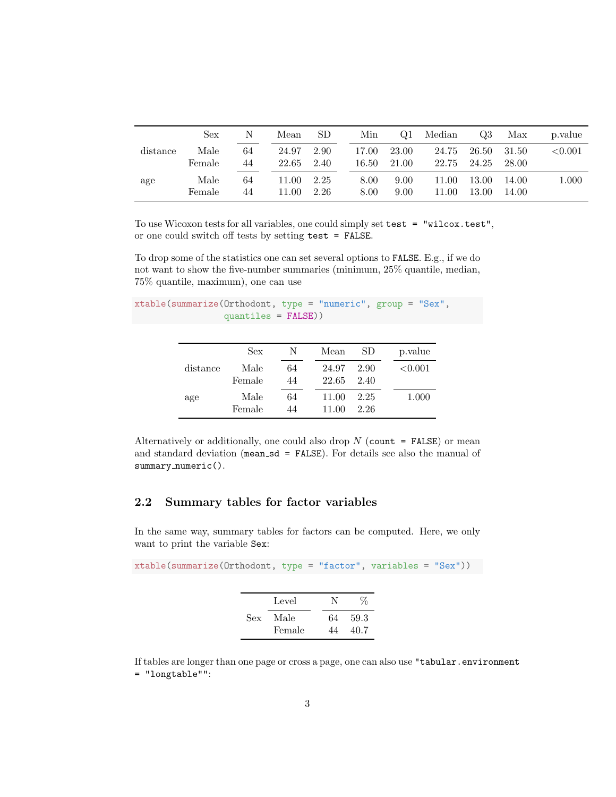|          | Sex            | N        | Mean           | SD.          | Min            | Q1             | Median         | Q3             | Max            | p. value   |
|----------|----------------|----------|----------------|--------------|----------------|----------------|----------------|----------------|----------------|------------|
| distance | Male<br>Female | 64<br>44 | 24.97<br>22.65 | 2.90<br>2.40 | 17.00<br>16.50 | 23.00<br>21.00 | 24.75<br>22.75 | 26.50<br>24.25 | 31.50<br>28.00 | ${<}0.001$ |
| age      | Male<br>Female | 64<br>44 | 11.00<br>11.00 | 2.25<br>2.26 | 8.00<br>8.00   | 9.00<br>9.00   | 11.00<br>11.00 | 13.00<br>13.00 | 14.00<br>14.00 | $1.000\,$  |

To use Wicoxon tests for all variables, one could simply set test = "wilcox.test", or one could switch off tests by setting test = FALSE.

To drop some of the statistics one can set several options to FALSE. E.g., if we do not want to show the five-number summaries (minimum, 25% quantile, median, 75% quantile, maximum), one can use

```
xtable(summarize(Orthodont, type = "numeric", group = "Sex",
                 quantiles = FALSE))
```

|          | <b>Sex</b> | N  | Mean  | SD   | p.value    |
|----------|------------|----|-------|------|------------|
| distance | Male       | 64 | 24.97 | 2.90 | ${<}0.001$ |
|          | Female     | 44 | 22.65 | 2.40 |            |
| age      | Male       | 64 | 11.00 | 2.25 | 1.000      |
|          | Female     | 44 | 11.00 | 2.26 |            |

Alternatively or additionally, one could also drop  $N$  (count = FALSE) or mean and standard deviation (mean sd = FALSE). For details see also the manual of summary\_numeric().

#### 2.2 Summary tables for factor variables

In the same way, summary tables for factors can be computed. Here, we only want to print the variable Sex:

xtable(summarize(Orthodont, type = "factor", variables = "Sex")) Level N  $\%$ Sex Male 64 59.3 Female 44 40.7

If tables are longer than one page or cross a page, one can also use "tabular.environment = "longtable"":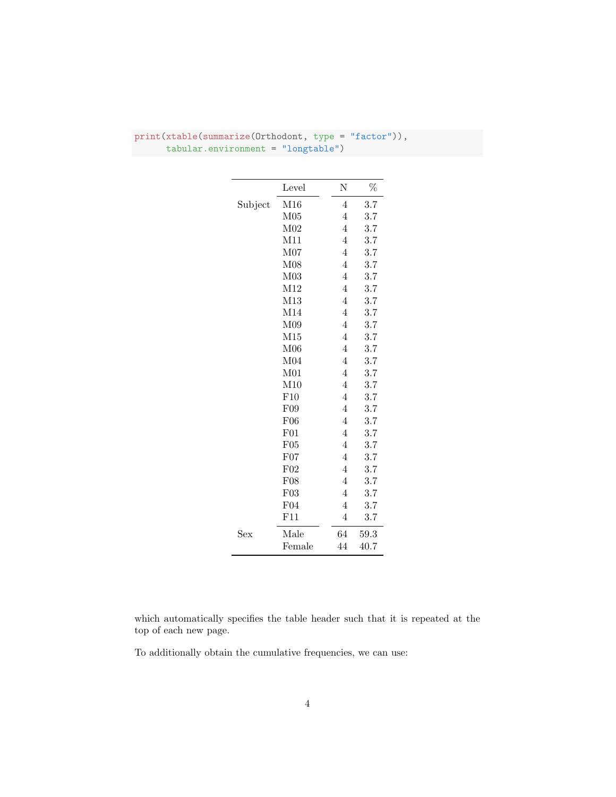|                      | Level           | N              | %    |
|----------------------|-----------------|----------------|------|
| Subject              | M16             | 4              | 3.7  |
|                      | M <sub>05</sub> | 4              | 3.7  |
|                      | M <sub>02</sub> | 4              | 3.7  |
|                      | M11             | 4              | 3.7  |
|                      | M07             | 4              | 3.7  |
|                      | M08             | 4              | 3.7  |
|                      | M <sub>03</sub> | 4              | 3.7  |
|                      | M12             | 4              | 3.7  |
|                      | M13             | $\overline{4}$ | 3.7  |
|                      | M14             | 4              | 3.7  |
|                      | M09             | 4              | 3.7  |
|                      | M15             | 4              | 3.7  |
|                      | M06             | 4              | 3.7  |
|                      | M04             | 4              | 3.7  |
|                      | M <sub>01</sub> | 4              | 3.7  |
|                      | M10             | 4              | 3.7  |
|                      | F10             | 4              | 3.7  |
|                      | F09             | $\overline{4}$ | 3.7  |
|                      | F06             | 4              | 3.7  |
|                      | F01             | 4              | 3.7  |
|                      | F05             | 4              | 3.7  |
|                      | F07             | 4              | 3.7  |
|                      | F02             | $\overline{4}$ | 3.7  |
|                      | F08             | 4              | 3.7  |
|                      | F03             | 4              | 3.7  |
|                      | F04             | 4              | 3.7  |
|                      | F11             | 4              | 3.7  |
| $\operatorname{Sex}$ | Male            | 64             | 59.3 |
|                      | Female          | 44             | 40.7 |

### print(xtable(summarize(Orthodont, type = "factor")), tabular.environment = "longtable")

which automatically specifies the table header such that it is repeated at the top of each new page.

To additionally obtain the cumulative frequencies, we can use: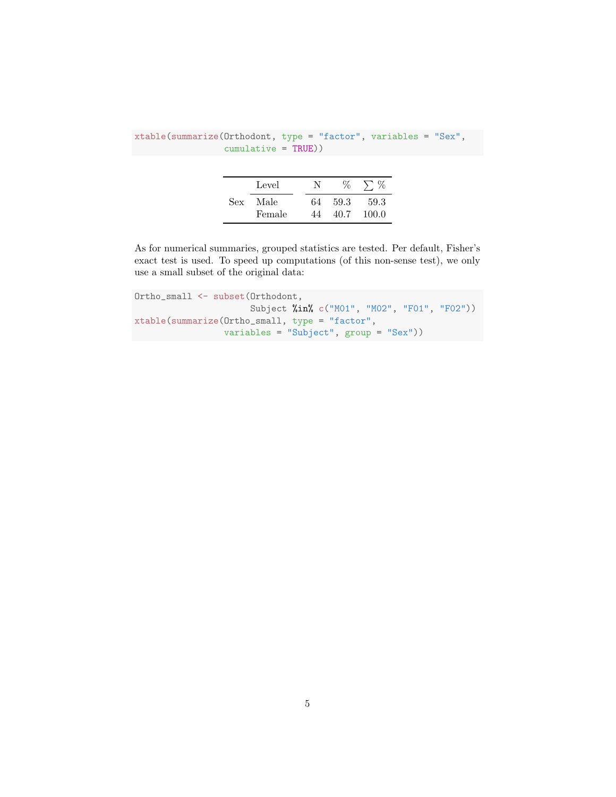|     | Level          | N  | $\%$         | $\rightarrow$ % |
|-----|----------------|----|--------------|-----------------|
| Sex | Male<br>Female | 64 | 59.3<br>40.7 | 59.3<br>100.0   |

xtable(summarize(Orthodont, type = "factor", variables = "Sex", cumulative = TRUE))

As for numerical summaries, grouped statistics are tested. Per default, Fisher's exact test is used. To speed up computations (of this non-sense test), we only use a small subset of the original data:

Ortho\_small <- subset(Orthodont, Subject %in% c("M01", "M02", "F01", "F02")) xtable(summarize(Ortho\_small, type = "factor", variables = "Subject", group = "Sex"))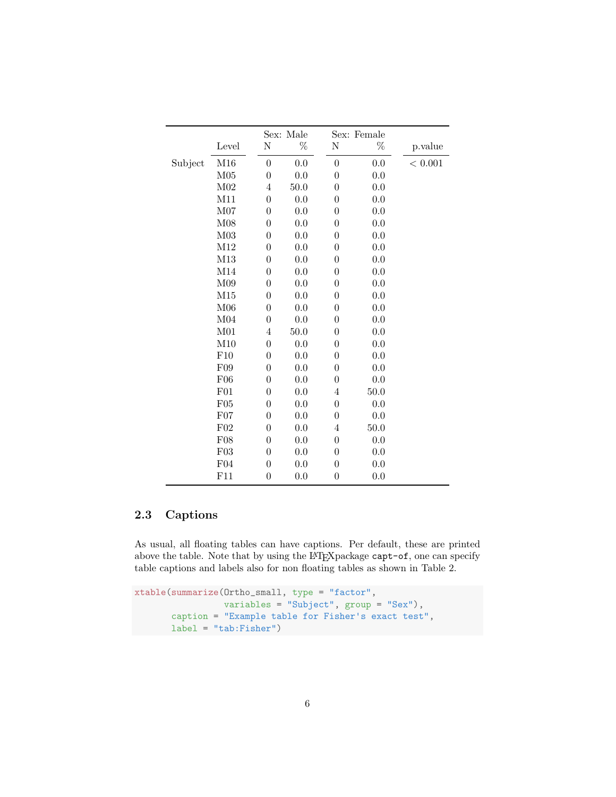|         |                 |                  | Sex: Male |                  | Sex: Female |            |
|---------|-----------------|------------------|-----------|------------------|-------------|------------|
|         | Level           | N                | %         | Ν                | $\%$        | p.value    |
| Subject | M16             | $\overline{0}$   | 0.0       | $\boldsymbol{0}$ | 0.0         | $<\,0.001$ |
|         | M05             | $\boldsymbol{0}$ | 0.0       | $\overline{0}$   | 0.0         |            |
|         | M <sub>02</sub> | 4                | 50.0      | $\overline{0}$   | 0.0         |            |
|         | M11             | $\boldsymbol{0}$ | 0.0       | $\overline{0}$   | 0.0         |            |
|         | M07             | $\boldsymbol{0}$ | 0.0       | $\overline{0}$   | 0.0         |            |
|         | M <sub>08</sub> | $\boldsymbol{0}$ | 0.0       | $\boldsymbol{0}$ | 0.0         |            |
|         | M <sub>03</sub> | $\boldsymbol{0}$ | 0.0       | $\theta$         | 0.0         |            |
|         | M12             | $\boldsymbol{0}$ | 0.0       | $\overline{0}$   | 0.0         |            |
|         | M13             | $\boldsymbol{0}$ | 0.0       | $\boldsymbol{0}$ | 0.0         |            |
|         | M14             | $\boldsymbol{0}$ | 0.0       | $\boldsymbol{0}$ | 0.0         |            |
|         | M09             | $\boldsymbol{0}$ | 0.0       | $\theta$         | 0.0         |            |
|         | M15             | $\overline{0}$   | 0.0       | $\theta$         | 0.0         |            |
|         | M <sub>06</sub> | $\boldsymbol{0}$ | 0.0       | $\boldsymbol{0}$ | 0.0         |            |
|         | M <sub>04</sub> | $\overline{0}$   | 0.0       | $\overline{0}$   | 0.0         |            |
|         | M <sub>01</sub> | 4                | 50.0      | $\theta$         | 0.0         |            |
|         | M10             | $\boldsymbol{0}$ | 0.0       | $\overline{0}$   | 0.0         |            |
|         | F10             | $\overline{0}$   | 0.0       | $\overline{0}$   | 0.0         |            |
|         | F09             | $\boldsymbol{0}$ | 0.0       | $\overline{0}$   | 0.0         |            |
|         | F06             | $\overline{0}$   | 0.0       | $\theta$         | 0.0         |            |
|         | F01             | $\overline{0}$   | 0.0       | $\overline{4}$   | 50.0        |            |
|         | F05             | $\boldsymbol{0}$ | 0.0       | $\boldsymbol{0}$ | 0.0         |            |
|         | F07             | $\boldsymbol{0}$ | 0.0       | $\overline{0}$   | 0.0         |            |
|         | F <sub>02</sub> | $\boldsymbol{0}$ | 0.0       | 4                | 50.0        |            |
|         | F08             | $\boldsymbol{0}$ | 0.0       | $\boldsymbol{0}$ | 0.0         |            |
|         | F03             | $\boldsymbol{0}$ | 0.0       | $\overline{0}$   | 0.0         |            |
|         | F04             | $\boldsymbol{0}$ | 0.0       | $\overline{0}$   | 0.0         |            |
|         | F11             | $\boldsymbol{0}$ | 0.0       | $\boldsymbol{0}$ | 0.0         |            |

### 2.3 Captions

As usual, all floating tables can have captions. Per default, these are printed above the table. Note that by using the LATEX package capt-of, one can specify table captions and labels also for non floating tables as shown in Table 2.

```
xtable(summarize(Ortho_small, type = "factor",
                 variables = "Subject", group = "Sex"),
       caption = "Example table for Fisher's exact test",
      label = "tab:Fisher")
```